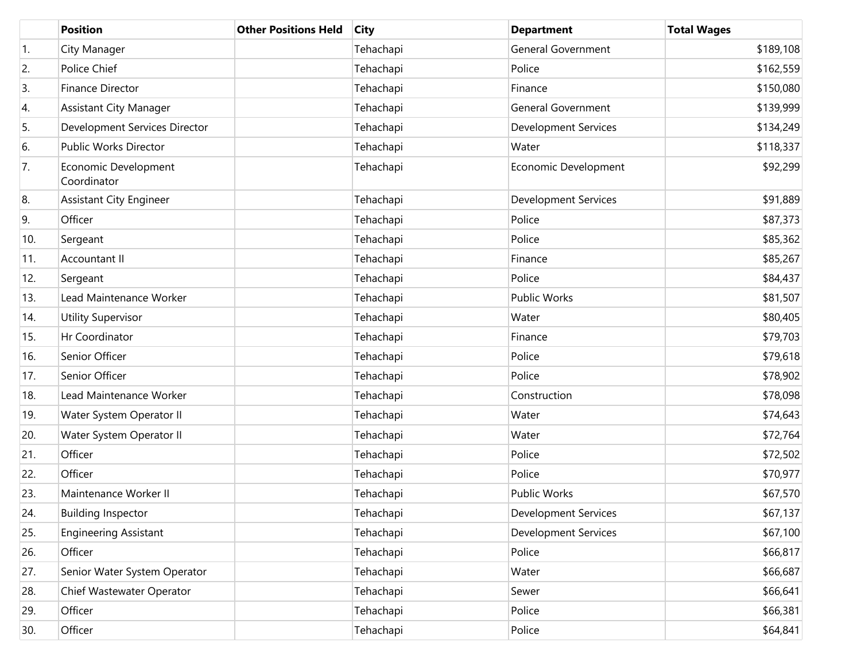|     | <b>Position</b>                     | <b>Other Positions Held</b> | <b>City</b> | <b>Department</b>           | <b>Total Wages</b> |
|-----|-------------------------------------|-----------------------------|-------------|-----------------------------|--------------------|
| 1.  | City Manager                        |                             | Tehachapi   | <b>General Government</b>   | \$189,108          |
| 2.  | Police Chief                        |                             | Tehachapi   | Police                      | \$162,559          |
| 3.  | <b>Finance Director</b>             |                             | Tehachapi   | Finance                     | \$150,080          |
| 4.  | <b>Assistant City Manager</b>       |                             | Tehachapi   | <b>General Government</b>   | \$139,999          |
| 5.  | Development Services Director       |                             | Tehachapi   | <b>Development Services</b> | \$134,249          |
| 6.  | Public Works Director               |                             | Tehachapi   | Water                       | \$118,337          |
| 7.  | Economic Development<br>Coordinator |                             | Tehachapi   | Economic Development        | \$92,299           |
| 8.  | <b>Assistant City Engineer</b>      |                             | Tehachapi   | <b>Development Services</b> | \$91,889           |
| 9.  | Officer                             |                             | Tehachapi   | Police                      | \$87,373           |
| 10. | Sergeant                            |                             | Tehachapi   | Police                      | \$85,362           |
| 11. | Accountant II                       |                             | Tehachapi   | Finance                     | \$85,267           |
| 12. | Sergeant                            |                             | Tehachapi   | Police                      | \$84,437           |
| 13. | Lead Maintenance Worker             |                             | Tehachapi   | <b>Public Works</b>         | \$81,507           |
| 14. | <b>Utility Supervisor</b>           |                             | Tehachapi   | Water                       | \$80,405           |
| 15. | Hr Coordinator                      |                             | Tehachapi   | Finance                     | \$79,703           |
| 16. | Senior Officer                      |                             | Tehachapi   | Police                      | \$79,618           |
| 17. | Senior Officer                      |                             | Tehachapi   | Police                      | \$78,902           |
| 18. | Lead Maintenance Worker             |                             | Tehachapi   | Construction                | \$78,098           |
| 19. | Water System Operator II            |                             | Tehachapi   | Water                       | \$74,643           |
| 20. | Water System Operator II            |                             | Tehachapi   | Water                       | \$72,764           |
| 21. | Officer                             |                             | Tehachapi   | Police                      | \$72,502           |
| 22. | Officer                             |                             | Tehachapi   | Police                      | \$70,977           |
| 23. | Maintenance Worker II               |                             | Tehachapi   | <b>Public Works</b>         | \$67,570           |
| 24. | <b>Building Inspector</b>           |                             | Tehachapi   | <b>Development Services</b> | \$67,137           |
| 25. | <b>Engineering Assistant</b>        |                             | Tehachapi   | <b>Development Services</b> | \$67,100           |
| 26. | Officer                             |                             | Tehachapi   | Police                      | \$66,817           |
| 27. | Senior Water System Operator        |                             | Tehachapi   | Water                       | \$66,687           |
| 28. | Chief Wastewater Operator           |                             | Tehachapi   | Sewer                       | \$66,641           |
| 29. | Officer                             |                             | Tehachapi   | Police                      | \$66,381           |
| 30. | Officer                             |                             | Tehachapi   | Police                      | \$64,841           |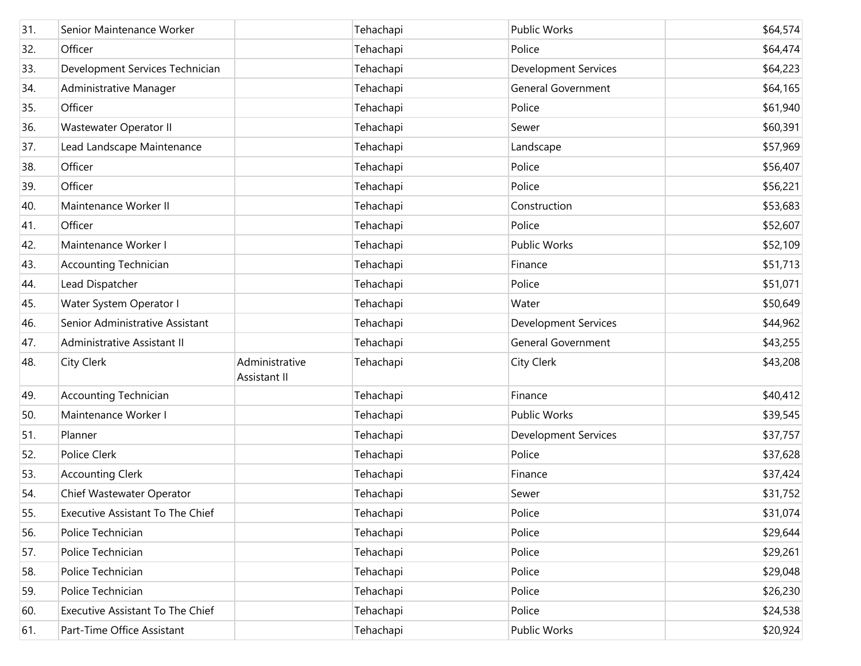| 31. | Senior Maintenance Worker        |                                | Tehachapi | <b>Public Works</b>         | \$64,574 |
|-----|----------------------------------|--------------------------------|-----------|-----------------------------|----------|
| 32. | Officer                          |                                | Tehachapi | Police                      | \$64,474 |
| 33. | Development Services Technician  |                                | Tehachapi | <b>Development Services</b> | \$64,223 |
| 34. | Administrative Manager           |                                | Tehachapi | <b>General Government</b>   | \$64,165 |
| 35. | Officer                          |                                | Tehachapi | Police                      | \$61,940 |
| 36. | Wastewater Operator II           |                                | Tehachapi | Sewer                       | \$60,391 |
| 37. | Lead Landscape Maintenance       |                                | Tehachapi | Landscape                   | \$57,969 |
| 38. | Officer                          |                                | Tehachapi | Police                      | \$56,407 |
| 39. | Officer                          |                                | Tehachapi | Police                      | \$56,221 |
| 40. | Maintenance Worker II            |                                | Tehachapi | Construction                | \$53,683 |
| 41. | Officer                          |                                | Tehachapi | Police                      | \$52,607 |
| 42. | Maintenance Worker I             |                                | Tehachapi | <b>Public Works</b>         | \$52,109 |
| 43. | <b>Accounting Technician</b>     |                                | Tehachapi | Finance                     | \$51,713 |
| 44. | Lead Dispatcher                  |                                | Tehachapi | Police                      | \$51,071 |
| 45. | Water System Operator I          |                                | Tehachapi | Water                       | \$50,649 |
| 46. | Senior Administrative Assistant  |                                | Tehachapi | <b>Development Services</b> | \$44,962 |
| 47. | Administrative Assistant II      |                                | Tehachapi | <b>General Government</b>   | \$43,255 |
| 48. | City Clerk                       | Administrative<br>Assistant II | Tehachapi | City Clerk                  | \$43,208 |
| 49. | <b>Accounting Technician</b>     |                                | Tehachapi | Finance                     | \$40,412 |
| 50. | Maintenance Worker I             |                                | Tehachapi | Public Works                | \$39,545 |
| 51. | Planner                          |                                | Tehachapi | <b>Development Services</b> | \$37,757 |
| 52. | Police Clerk                     |                                | Tehachapi | Police                      | \$37,628 |
| 53. | <b>Accounting Clerk</b>          |                                | Tehachapi | Finance                     | \$37,424 |
| 54. | Chief Wastewater Operator        |                                | Tehachapi | Sewer                       | \$31,752 |
| 55. | Executive Assistant To The Chief |                                | Tehachapi | Police                      | \$31,074 |
| 56. | Police Technician                |                                | Tehachapi | Police                      | \$29,644 |
| 57. | Police Technician                |                                | Tehachapi | Police                      | \$29,261 |
| 58. | Police Technician                |                                | Tehachapi | Police                      | \$29,048 |
| 59. | Police Technician                |                                | Tehachapi | Police                      | \$26,230 |
| 60. | Executive Assistant To The Chief |                                | Tehachapi | Police                      | \$24,538 |
| 61. | Part-Time Office Assistant       |                                | Tehachapi | Public Works                | \$20,924 |